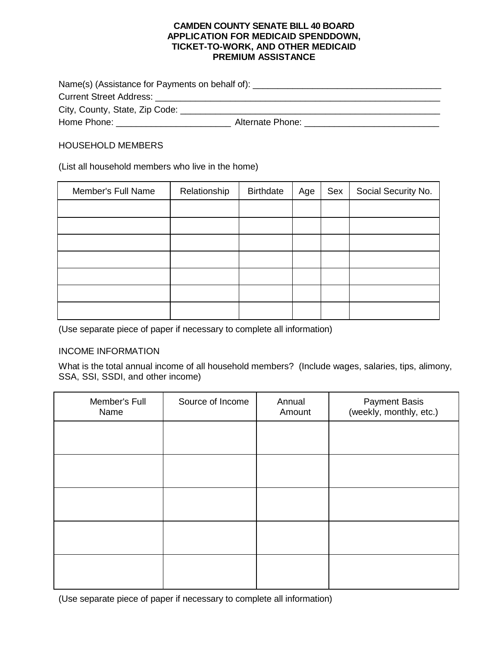#### **CAMDEN COUNTY SENATE BILL 40 BOARD APPLICATION FOR MEDICAID SPENDDOWN, TICKET-TO-WORK, AND OTHER MEDICAID PREMIUM ASSISTANCE**

| Name(s) (Assistance for Payments on behalf of): ________________________________                                                                                                                                               |                  |  |  |  |
|--------------------------------------------------------------------------------------------------------------------------------------------------------------------------------------------------------------------------------|------------------|--|--|--|
| <b>Current Street Address:</b> Current Street Address:                                                                                                                                                                         |                  |  |  |  |
| City, County, State, Zip Code:                                                                                                                                                                                                 |                  |  |  |  |
| Home Phone: The Contract of the Contract of the Contract of the Contract of the Contract of the Contract of the Contract of the Contract of the Contract of the Contract of the Contract of the Contract of the Contract of th | Alternate Phone: |  |  |  |

## HOUSEHOLD MEMBERS

(List all household members who live in the home)

| Member's Full Name | Relationship | <b>Birthdate</b> | Age | Sex | Social Security No. |
|--------------------|--------------|------------------|-----|-----|---------------------|
|                    |              |                  |     |     |                     |
|                    |              |                  |     |     |                     |
|                    |              |                  |     |     |                     |
|                    |              |                  |     |     |                     |
|                    |              |                  |     |     |                     |
|                    |              |                  |     |     |                     |
|                    |              |                  |     |     |                     |

(Use separate piece of paper if necessary to complete all information)

#### INCOME INFORMATION

What is the total annual income of all household members? (Include wages, salaries, tips, alimony, SSA, SSI, SSDI, and other income)

| Member's Full<br>Name | Source of Income | Annual<br>Amount | <b>Payment Basis</b><br>(weekly, monthly, etc.) |
|-----------------------|------------------|------------------|-------------------------------------------------|
|                       |                  |                  |                                                 |
|                       |                  |                  |                                                 |
|                       |                  |                  |                                                 |
|                       |                  |                  |                                                 |
|                       |                  |                  |                                                 |

(Use separate piece of paper if necessary to complete all information)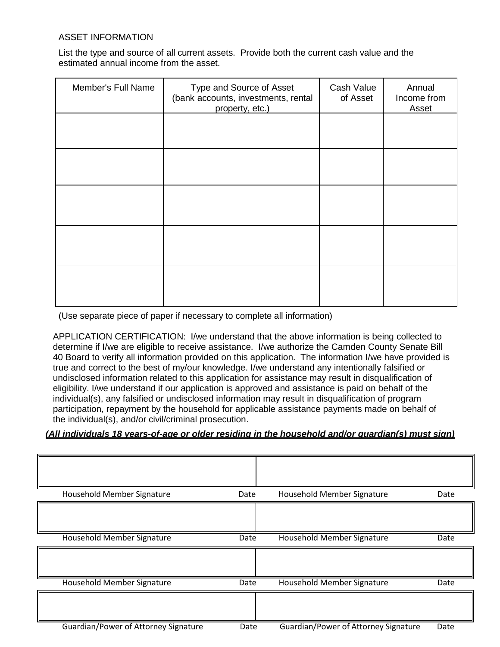## ASSET INFORMATION

List the type and source of all current assets. Provide both the current cash value and the estimated annual income from the asset.

| Member's Full Name | Type and Source of Asset<br>(bank accounts, investments, rental<br>property, etc.) | Cash Value<br>of Asset | Annual<br>Income from<br><b>Asset</b> |
|--------------------|------------------------------------------------------------------------------------|------------------------|---------------------------------------|
|                    |                                                                                    |                        |                                       |
|                    |                                                                                    |                        |                                       |
|                    |                                                                                    |                        |                                       |
|                    |                                                                                    |                        |                                       |
|                    |                                                                                    |                        |                                       |

(Use separate piece of paper if necessary to complete all information)

APPLICATION CERTIFICATION: I/we understand that the above information is being collected to determine if I/we are eligible to receive assistance. I/we authorize the Camden County Senate Bill 40 Board to verify all information provided on this application. The information I/we have provided is true and correct to the best of my/our knowledge. I/we understand any intentionally falsified or undisclosed information related to this application for assistance may result in disqualification of eligibility. I/we understand if our application is approved and assistance is paid on behalf of the individual(s), any falsified or undisclosed information may result in disqualification of program participation, repayment by the household for applicable assistance payments made on behalf of the individual(s), and/or civil/criminal prosecution.

## *(All individuals 18 years-of-age or older residing in the household and/or guardian(s) must sign)*

| Household Member Signature           | Date | Household Member Signature           | Date |
|--------------------------------------|------|--------------------------------------|------|
|                                      |      |                                      |      |
| Household Member Signature           | Date | Household Member Signature           | Date |
|                                      |      |                                      |      |
| Household Member Signature           | Date | Household Member Signature           | Date |
|                                      |      |                                      |      |
| Guardian/Power of Attorney Signature | Date | Guardian/Power of Attorney Signature | Date |